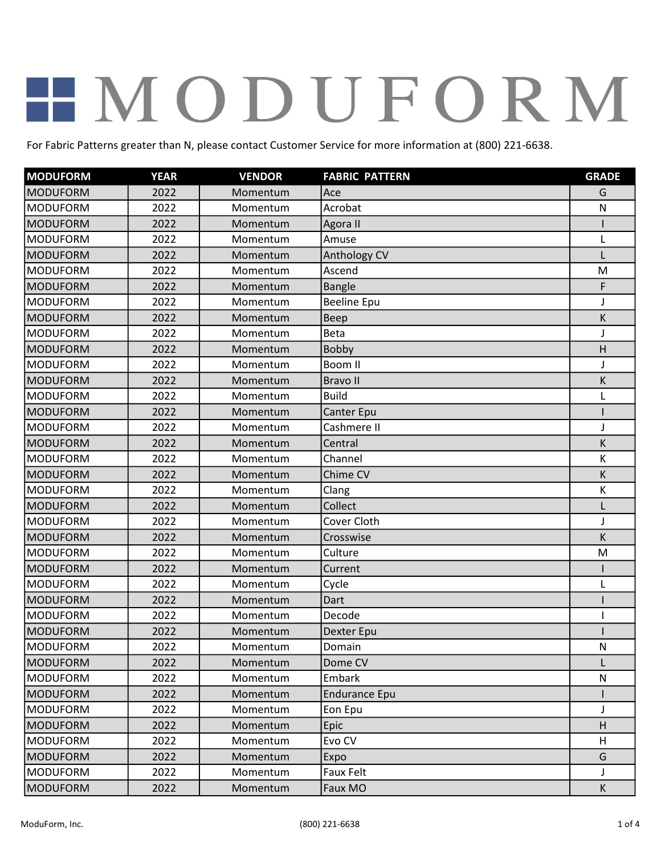| <b>MODUFORM</b> | <b>YEAR</b> | <b>VENDOR</b> | <b>FABRIC PATTERN</b> | <b>GRADE</b> |
|-----------------|-------------|---------------|-----------------------|--------------|
| <b>MODUFORM</b> | 2022        | Momentum      | Ace                   | G            |
| <b>MODUFORM</b> | 2022        | Momentum      | Acrobat               | ${\sf N}$    |
| <b>MODUFORM</b> | 2022        | Momentum      | Agora II              |              |
| <b>MODUFORM</b> | 2022        | Momentum      | Amuse                 | L            |
| <b>MODUFORM</b> | 2022        | Momentum      | Anthology CV          |              |
| <b>MODUFORM</b> | 2022        | Momentum      | Ascend                | M            |
| <b>MODUFORM</b> | 2022        | Momentum      | <b>Bangle</b>         | F            |
| <b>MODUFORM</b> | 2022        | Momentum      | <b>Beeline Epu</b>    | $\mathsf{I}$ |
| <b>MODUFORM</b> | 2022        | Momentum      | Beep                  | К            |
| <b>MODUFORM</b> | 2022        | Momentum      | <b>Beta</b>           | J            |
| <b>MODUFORM</b> | 2022        | Momentum      | <b>Bobby</b>          | Н            |
| <b>MODUFORM</b> | 2022        | Momentum      | Boom II               | J            |
| <b>MODUFORM</b> | 2022        | Momentum      | <b>Bravoll</b>        | K            |
| <b>MODUFORM</b> | 2022        | Momentum      | <b>Build</b>          | $\mathbf{I}$ |
| <b>MODUFORM</b> | 2022        | Momentum      | Canter Epu            |              |
| <b>MODUFORM</b> | 2022        | Momentum      | Cashmere II           | J            |
| <b>MODUFORM</b> | 2022        | Momentum      | Central               | K            |
| <b>MODUFORM</b> | 2022        | Momentum      | Channel               | К            |
| <b>MODUFORM</b> | 2022        | Momentum      | Chime CV              | K            |
| <b>MODUFORM</b> | 2022        | Momentum      | Clang                 | К            |
| <b>MODUFORM</b> | 2022        | Momentum      | Collect               |              |
| <b>MODUFORM</b> | 2022        | Momentum      | Cover Cloth           | J            |
| <b>MODUFORM</b> | 2022        | Momentum      | Crosswise             | К            |
| <b>MODUFORM</b> | 2022        | Momentum      | Culture               | M            |
| <b>MODUFORM</b> | 2022        | Momentum      | Current               |              |
| <b>MODUFORM</b> | 2022        | Momentum      | Cycle                 | L            |
| <b>MODUFORM</b> | 2022        | Momentum      | Dart                  |              |
| <b>MODUFORM</b> | 2022        | Momentum      | Decode                |              |
| <b>MODUFORM</b> | 2022        | Momentum      | <b>Dexter Epu</b>     |              |
| <b>MODUFORM</b> | 2022        | Momentum      | Domain                | N            |
| <b>MODUFORM</b> | 2022        | Momentum      | Dome CV               | L            |
| <b>MODUFORM</b> | 2022        | Momentum      | Embark                | ${\sf N}$    |
| <b>MODUFORM</b> | 2022        | Momentum      | <b>Endurance Epu</b>  |              |
| <b>MODUFORM</b> | 2022        | Momentum      | Eon Epu               | J            |
| <b>MODUFORM</b> | 2022        | Momentum      | Epic                  | Н            |
| <b>MODUFORM</b> | 2022        | Momentum      | Evo CV                | H            |
| <b>MODUFORM</b> | 2022        | Momentum      | Expo                  | G            |
| <b>MODUFORM</b> | 2022        | Momentum      | Faux Felt             | J            |
| <b>MODUFORM</b> | 2022        | Momentum      | Faux MO               | К            |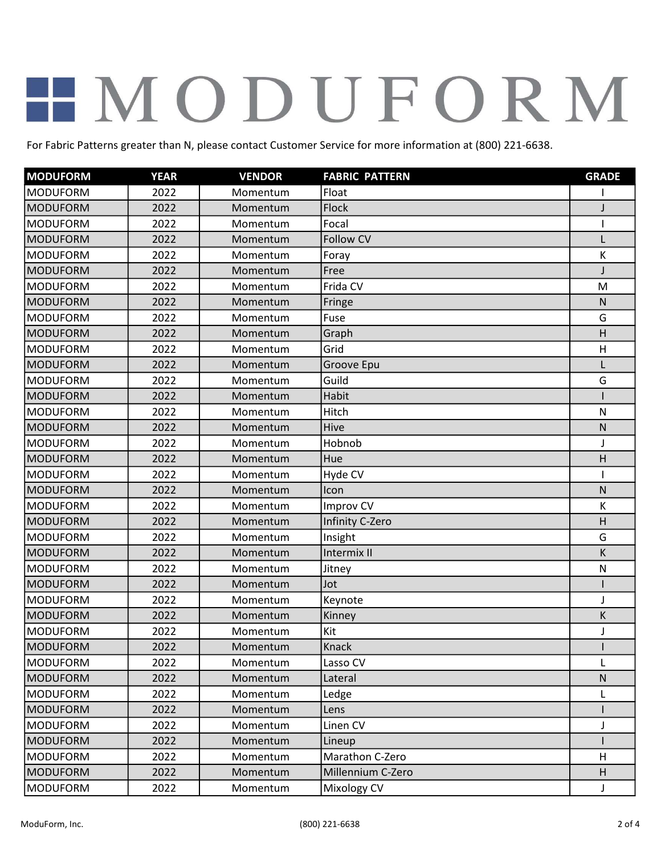| <b>MODUFORM</b> | <b>YEAR</b> | <b>VENDOR</b> | <b>FABRIC PATTERN</b> | <b>GRADE</b> |
|-----------------|-------------|---------------|-----------------------|--------------|
| <b>MODUFORM</b> | 2022        | Momentum      | Float                 |              |
| <b>MODUFORM</b> | 2022        | Momentum      | Flock                 | J            |
| <b>MODUFORM</b> | 2022        | Momentum      | Focal                 |              |
| <b>MODUFORM</b> | 2022        | Momentum      | <b>Follow CV</b>      | $\mathsf{L}$ |
| <b>MODUFORM</b> | 2022        | Momentum      | Foray                 | К            |
| <b>MODUFORM</b> | 2022        | Momentum      | Free                  | J            |
| <b>MODUFORM</b> | 2022        | Momentum      | Frida CV              | M            |
| <b>MODUFORM</b> | 2022        | Momentum      | Fringe                | $\mathsf{N}$ |
| <b>MODUFORM</b> | 2022        | Momentum      | Fuse                  | G            |
| <b>MODUFORM</b> | 2022        | Momentum      | Graph                 | Η            |
| <b>MODUFORM</b> | 2022        | Momentum      | Grid                  | H            |
| <b>MODUFORM</b> | 2022        | Momentum      | Groove Epu            | L            |
| <b>MODUFORM</b> | 2022        | Momentum      | Guild                 | G            |
| <b>MODUFORM</b> | 2022        | Momentum      | Habit                 |              |
| <b>MODUFORM</b> | 2022        | Momentum      | Hitch                 | ${\sf N}$    |
| <b>MODUFORM</b> | 2022        | Momentum      | Hive                  | ${\sf N}$    |
| <b>MODUFORM</b> | 2022        | Momentum      | Hobnob                | J            |
| <b>MODUFORM</b> | 2022        | Momentum      | Hue                   | Н            |
| <b>MODUFORM</b> | 2022        | Momentum      | Hyde CV               |              |
| <b>MODUFORM</b> | 2022        | Momentum      | Icon                  | $\mathsf{N}$ |
| <b>MODUFORM</b> | 2022        | Momentum      | Improv CV             | К            |
| <b>MODUFORM</b> | 2022        | Momentum      | Infinity C-Zero       | Η            |
| <b>MODUFORM</b> | 2022        | Momentum      | Insight               | G            |
| <b>MODUFORM</b> | 2022        | Momentum      | Intermix II           | K            |
| <b>MODUFORM</b> | 2022        | Momentum      | Jitney                | ${\sf N}$    |
| <b>MODUFORM</b> | 2022        | Momentum      | Jot                   |              |
| <b>MODUFORM</b> | 2022        | Momentum      | Keynote               | $\mathsf{I}$ |
| <b>MODUFORM</b> | 2022        | Momentum      | Kinney                | К            |
| <b>MODUFORM</b> | 2022        | Momentum      | Kit                   | $\mathbf{J}$ |
| <b>MODUFORM</b> | 2022        | Momentum      | Knack                 |              |
| <b>MODUFORM</b> | 2022        | Momentum      | Lasso CV              | L            |
| <b>MODUFORM</b> | 2022        | Momentum      | Lateral               | ${\sf N}$    |
| <b>MODUFORM</b> | 2022        | Momentum      | Ledge                 | L            |
| <b>MODUFORM</b> | 2022        | Momentum      | Lens                  |              |
| <b>MODUFORM</b> | 2022        | Momentum      | Linen CV              | J            |
| <b>MODUFORM</b> | 2022        | Momentum      | Lineup                |              |
| <b>MODUFORM</b> | 2022        | Momentum      | Marathon C-Zero       | H            |
| <b>MODUFORM</b> | 2022        | Momentum      | Millennium C-Zero     | H            |
| <b>MODUFORM</b> | 2022        | Momentum      | Mixology CV           | J            |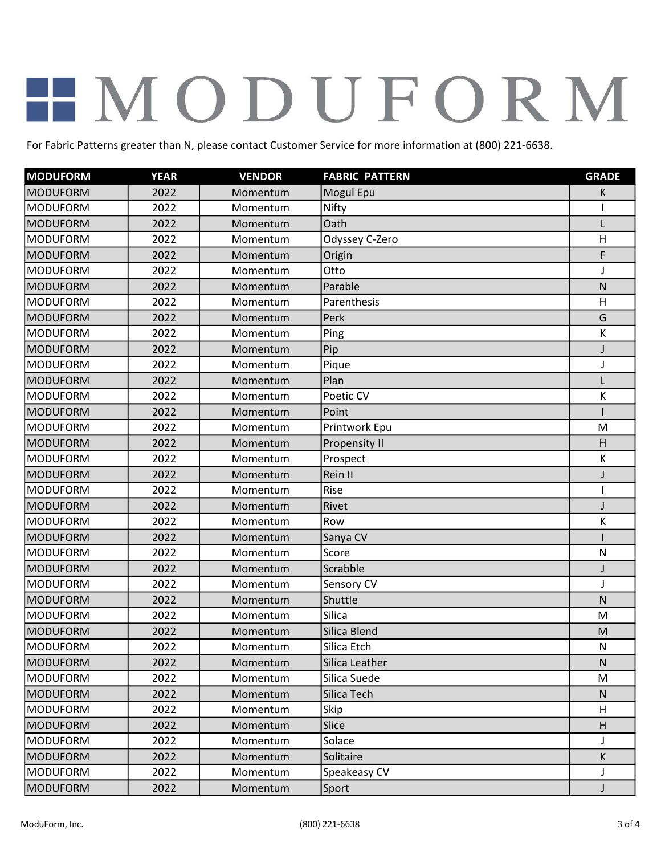| <b>MODUFORM</b> | <b>YEAR</b> | <b>VENDOR</b> | <b>FABRIC PATTERN</b> | <b>GRADE</b> |
|-----------------|-------------|---------------|-----------------------|--------------|
| <b>MODUFORM</b> | 2022        | Momentum      | Mogul Epu             | К            |
| <b>MODUFORM</b> | 2022        | Momentum      | Nifty                 |              |
| <b>MODUFORM</b> | 2022        | Momentum      | Oath                  | L            |
| <b>MODUFORM</b> | 2022        | Momentum      | Odyssey C-Zero        | H            |
| <b>MODUFORM</b> | 2022        | Momentum      | Origin                | F            |
| <b>MODUFORM</b> | 2022        | Momentum      | Otto                  | J            |
| <b>MODUFORM</b> | 2022        | Momentum      | Parable               | N            |
| <b>MODUFORM</b> | 2022        | Momentum      | Parenthesis           | H            |
| <b>MODUFORM</b> | 2022        | Momentum      | Perk                  | G            |
| <b>MODUFORM</b> | 2022        | Momentum      | Ping                  | К            |
| <b>MODUFORM</b> | 2022        | Momentum      | Pip                   | J            |
| <b>MODUFORM</b> | 2022        | Momentum      | Pique                 | J            |
| <b>MODUFORM</b> | 2022        | Momentum      | Plan                  | L            |
| <b>MODUFORM</b> | 2022        | Momentum      | Poetic CV             | К            |
| <b>MODUFORM</b> | 2022        | Momentum      | Point                 |              |
| <b>MODUFORM</b> | 2022        | Momentum      | Printwork Epu         | M            |
| <b>MODUFORM</b> | 2022        | Momentum      | Propensity II         | H            |
| <b>MODUFORM</b> | 2022        | Momentum      | Prospect              | К            |
| <b>MODUFORM</b> | 2022        | Momentum      | Rein II               | J            |
| <b>MODUFORM</b> | 2022        | Momentum      | Rise                  |              |
| <b>MODUFORM</b> | 2022        | Momentum      | Rivet                 | J            |
| <b>MODUFORM</b> | 2022        | Momentum      | Row                   | К            |
| <b>MODUFORM</b> | 2022        | Momentum      | Sanya CV              |              |
| <b>MODUFORM</b> | 2022        | Momentum      | Score                 | N            |
| <b>MODUFORM</b> | 2022        | Momentum      | Scrabble              | J            |
| <b>MODUFORM</b> | 2022        | Momentum      | Sensory CV            | J            |
| <b>MODUFORM</b> | 2022        | Momentum      | Shuttle               | $\mathsf{N}$ |
| <b>MODUFORM</b> | 2022        | Momentum      | Silica                | M            |
| <b>MODUFORM</b> | 2022        | Momentum      | Silica Blend          | M            |
| <b>MODUFORM</b> | 2022        | Momentum      | Silica Etch           | N            |
| <b>MODUFORM</b> | 2022        | Momentum      | Silica Leather        | $\mathsf{N}$ |
| <b>MODUFORM</b> | 2022        | Momentum      | Silica Suede          | M            |
| <b>MODUFORM</b> | 2022        | Momentum      | Silica Tech           | N            |
| <b>MODUFORM</b> | 2022        | Momentum      | Skip                  | H            |
| <b>MODUFORM</b> | 2022        | Momentum      | Slice                 | H            |
| <b>MODUFORM</b> | 2022        | Momentum      | Solace                |              |
| <b>MODUFORM</b> | 2022        | Momentum      | Solitaire             | $\sf K$      |
| <b>MODUFORM</b> | 2022        | Momentum      | Speakeasy CV          | J            |
| <b>MODUFORM</b> | 2022        | Momentum      | Sport                 | J            |